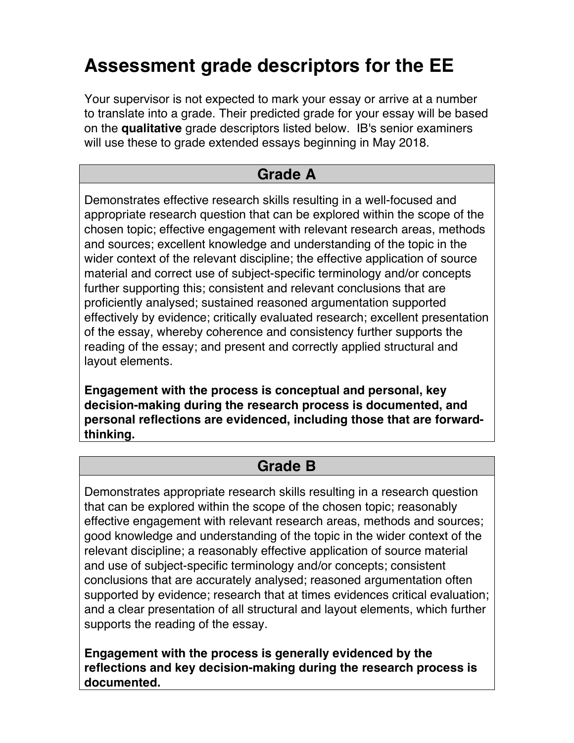# **Assessment grade descriptors for the EE**

Your supervisor is not expected to mark your essay or arrive at a number to translate into a grade. Their predicted grade for your essay will be based on the **qualitative** grade descriptors listed below. IB's senior examiners will use these to grade extended essays beginning in May 2018.

### **Grade A**

Demonstrates effective research skills resulting in a well-focused and appropriate research question that can be explored within the scope of the chosen topic; effective engagement with relevant research areas, methods and sources; excellent knowledge and understanding of the topic in the wider context of the relevant discipline; the effective application of source material and correct use of subject-specific terminology and/or concepts further supporting this; consistent and relevant conclusions that are proficiently analysed; sustained reasoned argumentation supported effectively by evidence; critically evaluated research; excellent presentation of the essay, whereby coherence and consistency further supports the reading of the essay; and present and correctly applied structural and layout elements.

**Engagement with the process is conceptual and personal, key decision-making during the research process is documented, and personal reflections are evidenced, including those that are forwardthinking.**

#### **Grade B**

Demonstrates appropriate research skills resulting in a research question that can be explored within the scope of the chosen topic; reasonably effective engagement with relevant research areas, methods and sources; good knowledge and understanding of the topic in the wider context of the relevant discipline; a reasonably effective application of source material and use of subject-specific terminology and/or concepts; consistent conclusions that are accurately analysed; reasoned argumentation often supported by evidence; research that at times evidences critical evaluation; and a clear presentation of all structural and layout elements, which further supports the reading of the essay.

**Engagement with the process is generally evidenced by the reflections and key decision-making during the research process is documented.**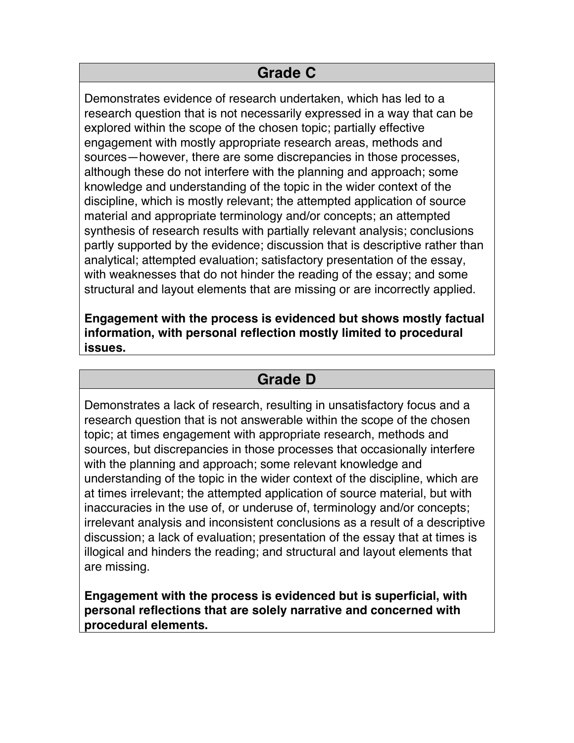#### **Grade C**

Demonstrates evidence of research undertaken, which has led to a research question that is not necessarily expressed in a way that can be explored within the scope of the chosen topic; partially effective engagement with mostly appropriate research areas, methods and sources—however, there are some discrepancies in those processes, although these do not interfere with the planning and approach; some knowledge and understanding of the topic in the wider context of the discipline, which is mostly relevant; the attempted application of source material and appropriate terminology and/or concepts; an attempted synthesis of research results with partially relevant analysis; conclusions partly supported by the evidence; discussion that is descriptive rather than analytical; attempted evaluation; satisfactory presentation of the essay, with weaknesses that do not hinder the reading of the essay; and some structural and layout elements that are missing or are incorrectly applied.

**Engagement with the process is evidenced but shows mostly factual information, with personal reflection mostly limited to procedural issues.**

#### **Grade D**

Demonstrates a lack of research, resulting in unsatisfactory focus and a research question that is not answerable within the scope of the chosen topic; at times engagement with appropriate research, methods and sources, but discrepancies in those processes that occasionally interfere with the planning and approach; some relevant knowledge and understanding of the topic in the wider context of the discipline, which are at times irrelevant; the attempted application of source material, but with inaccuracies in the use of, or underuse of, terminology and/or concepts; irrelevant analysis and inconsistent conclusions as a result of a descriptive discussion; a lack of evaluation; presentation of the essay that at times is illogical and hinders the reading; and structural and layout elements that are missing.

**Engagement with the process is evidenced but is superficial, with personal reflections that are solely narrative and concerned with procedural elements.**